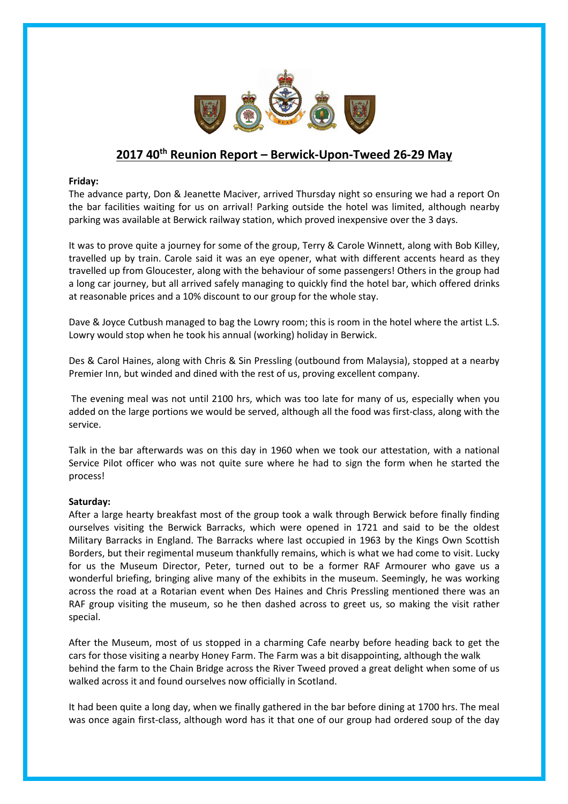

# **2017 40th Reunion Report – Berwick-Upon-Tweed 26-29 May**

## **Friday:**

The advance party, Don & Jeanette Maciver, arrived Thursday night so ensuring we had a report On the bar facilities waiting for us on arrival! Parking outside the hotel was limited, although nearby parking was available at Berwick railway station, which proved inexpensive over the 3 days.

It was to prove quite a journey for some of the group, Terry & Carole Winnett, along with Bob Killey, travelled up by train. Carole said it was an eye opener, what with different accents heard as they travelled up from Gloucester, along with the behaviour of some passengers! Others in the group had a long car journey, but all arrived safely managing to quickly find the hotel bar, which offered drinks at reasonable prices and a 10% discount to our group for the whole stay.

Dave & Joyce Cutbush managed to bag the Lowry room; this is room in the hotel where the artist L.S. Lowry would stop when he took his annual (working) holiday in Berwick.

Des & Carol Haines, along with Chris & Sin Pressling (outbound from Malaysia), stopped at a nearby Premier Inn, but winded and dined with the rest of us, proving excellent company.

 The evening meal was not until 2100 hrs, which was too late for many of us, especially when you added on the large portions we would be served, although all the food was first-class, along with the service.

Talk in the bar afterwards was on this day in 1960 when we took our attestation, with a national Service Pilot officer who was not quite sure where he had to sign the form when he started the process!

# **Saturday:**

After a large hearty breakfast most of the group took a walk through Berwick before finally finding ourselves visiting the Berwick Barracks, which were opened in 1721 and said to be the oldest Military Barracks in England. The Barracks where last occupied in 1963 by the Kings Own Scottish Borders, but their regimental museum thankfully remains, which is what we had come to visit. Lucky for us the Museum Director, Peter, turned out to be a former RAF Armourer who gave us a wonderful briefing, bringing alive many of the exhibits in the museum. Seemingly, he was working across the road at a Rotarian event when Des Haines and Chris Pressling mentioned there was an RAF group visiting the museum, so he then dashed across to greet us, so making the visit rather special.

After the Museum, most of us stopped in a charming Cafe nearby before heading back to get the cars for those visiting a nearby Honey Farm. The Farm was a bit disappointing, although the walk behind the farm to the Chain Bridge across the River Tweed proved a great delight when some of us walked across it and found ourselves now officially in Scotland.

It had been quite a long day, when we finally gathered in the bar before dining at 1700 hrs. The meal was once again first-class, although word has it that one of our group had ordered soup of the day